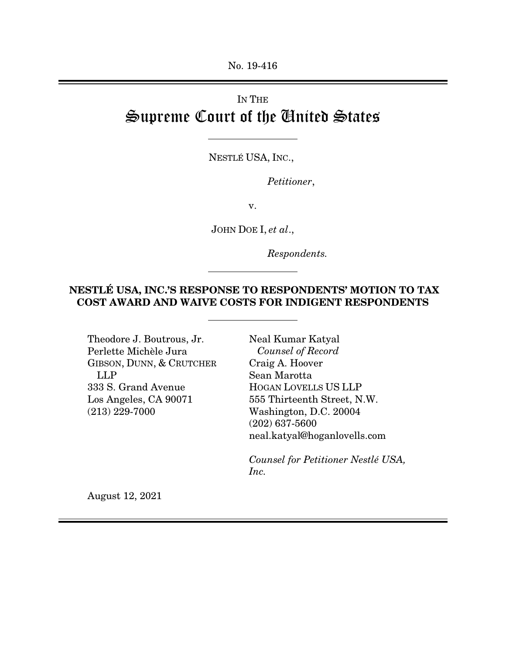No. 19-416

## IN THE Supreme Court of the United States

NESTLÉ USA, INC.,

*Petitioner*,

v.

JOHN DOE I, *et al*.,

*Respondents.* 

## NESTLÉ USA, INC.'S RESPONSE TO RESPONDENTS' MOTION TO TAX COST AWARD AND WAIVE COSTS FOR INDIGENT RESPONDENTS

Theodore J. Boutrous, Jr. Perlette Michèle Jura GIBSON, DUNN, & CRUTCHER LLP 333 S. Grand Avenue Los Angeles, CA 90071 (213) 229-7000

Neal Kumar Katyal  *Counsel of Record*  Craig A. Hoover Sean Marotta HOGAN LOVELLS US LLP 555 Thirteenth Street, N.W. Washington, D.C. 20004 (202) 637-5600 neal.katyal@hoganlovells.com

*Counsel for Petitioner Nestlé USA, Inc.* 

August 12, 2021